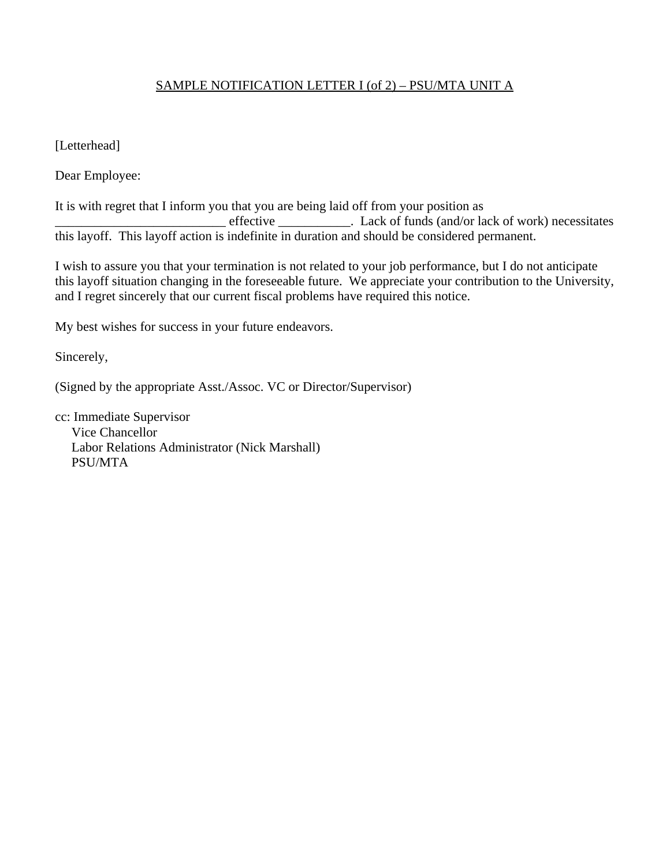## SAMPLE NOTIFICATION LETTER I (of 2) – PSU/MTA UNIT A

[Letterhead]

Dear Employee:

It is with regret that I inform you that you are being laid off from your position as effective \_\_\_\_\_\_\_\_\_\_\_\_\_. Lack of funds (and/or lack of work) necessitates this layoff. This layoff action is indefinite in duration and should be considered permanent.

I wish to assure you that your termination is not related to your job performance, but I do not anticipate this layoff situation changing in the foreseeable future. We appreciate your contribution to the University, and I regret sincerely that our current fiscal problems have required this notice.

My best wishes for success in your future endeavors.

Sincerely,

(Signed by the appropriate Asst./Assoc. VC or Director/Supervisor)

cc: Immediate Supervisor Vice Chancellor Labor Relations Administrator (Nick Marshall) PSU/MTA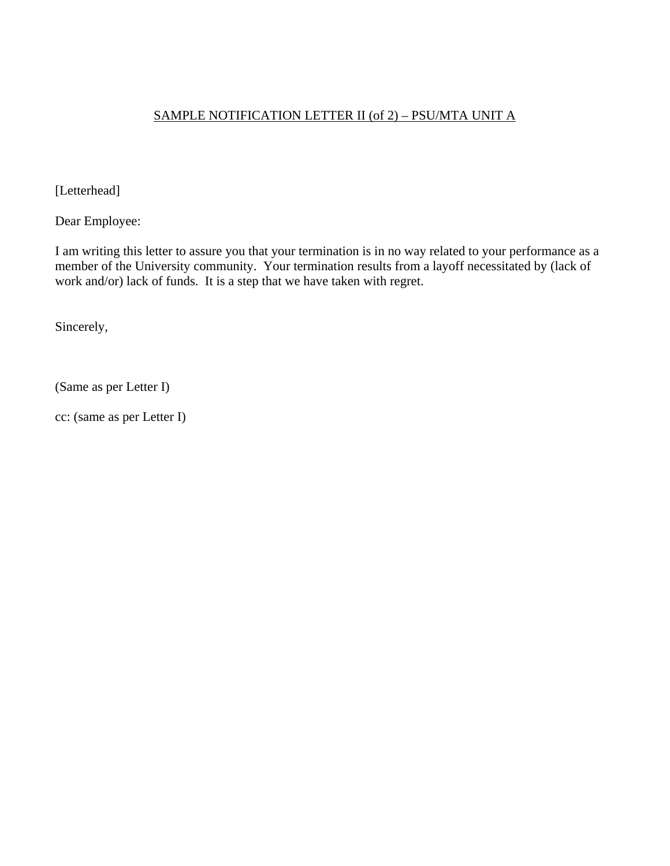## SAMPLE NOTIFICATION LETTER II (of 2) – PSU/MTA UNIT A

[Letterhead]

Dear Employee:

I am writing this letter to assure you that your termination is in no way related to your performance as a member of the University community. Your termination results from a layoff necessitated by (lack of work and/or) lack of funds. It is a step that we have taken with regret.

Sincerely,

(Same as per Letter I)

cc: (same as per Letter I)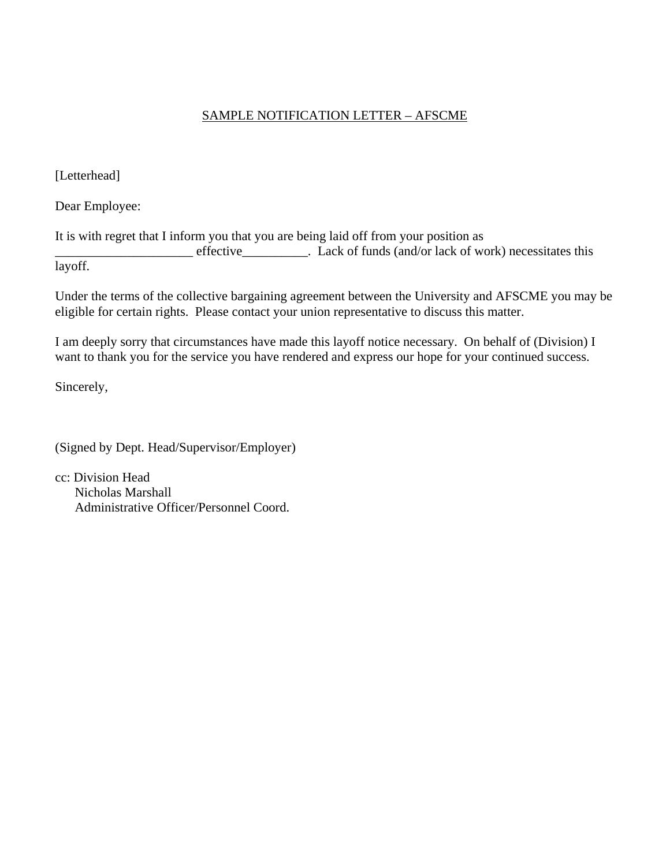## SAMPLE NOTIFICATION LETTER – AFSCME

[Letterhead]

Dear Employee:

It is with regret that I inform you that you are being laid off from your position as

\_\_\_\_\_\_\_\_\_\_\_\_\_\_\_\_\_\_\_\_\_ effective\_\_\_\_\_\_\_\_\_\_. Lack of funds (and/or lack of work) necessitates this layoff.

Under the terms of the collective bargaining agreement between the University and AFSCME you may be eligible for certain rights. Please contact your union representative to discuss this matter.

I am deeply sorry that circumstances have made this layoff notice necessary. On behalf of (Division) I want to thank you for the service you have rendered and express our hope for your continued success.

Sincerely,

(Signed by Dept. Head/Supervisor/Employer)

cc: Division Head Nicholas Marshall Administrative Officer/Personnel Coord.